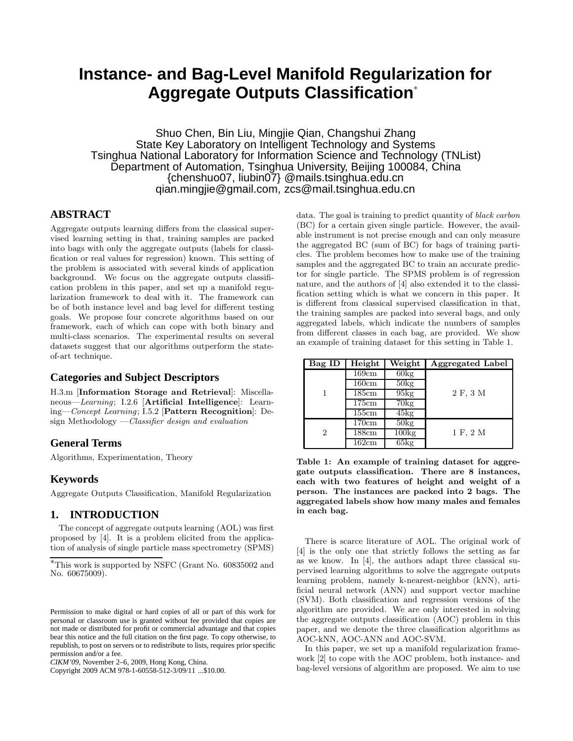# **Instance- and Bag-Level Manifold Regularization for Aggregate Outputs Classification**<sup>∗</sup>

Shuo Chen, Bin Liu, Mingjie Qian, Changshui Zhang State Key Laboratory on Intelligent Technology and Systems Tsinghua National Laboratory for Information Science and Technology (TNList) Department of Automation, Tsinghua University, Beijing 100084, China {chenshuo07, liubin07} @mails.tsinghua.edu.cn qian.mingjie@gmail.com, zcs@mail.tsinghua.edu.cn

## **ABSTRACT**

Aggregate outputs learning differs from the classical supervised learning setting in that, training samples are packed into bags with only the aggregate outputs (labels for classification or real values for regression) known. This setting of the problem is associated with several kinds of application background. We focus on the aggregate outputs classification problem in this paper, and set up a manifold regularization framework to deal with it. The framework can be of both instance level and bag level for different testing goals. We propose four concrete algorithms based on our framework, each of which can cope with both binary and multi-class scenarios. The experimental results on several datasets suggest that our algorithms outperform the stateof-art technique.

## **Categories and Subject Descriptors**

H.3.m [**Information Storage and Retrieval**]: Miscellaneous—Learning; I.2.6 [**Artificial Intelligence**]: Learning—Concept Learning; I.5.2 [**Pattern Recognition**]: Design Methodology —Classifier design and evaluation

# **General Terms**

Algorithms, Experimentation, Theory

#### **Keywords**

Aggregate Outputs Classification, Manifold Regularization

## **1. INTRODUCTION**

The concept of aggregate outputs learning (AOL) was first proposed by [4]. It is a problem elicited from the application of analysis of single particle mass spectrometry (SPMS)

Copyright 2009 ACM 978-1-60558-512-3/09/11 ...\$10.00.

data. The goal is training to predict quantity of black carbon (BC) for a certain given single particle. However, the available instrument is not precise enough and can only measure the aggregated BC (sum of BC) for bags of training particles. The problem becomes how to make use of the training samples and the aggregated BC to train an accurate predictor for single particle. The SPMS problem is of regression nature, and the authors of [4] also extended it to the classification setting which is what we concern in this paper. It is different from classical supervised classification in that, the training samples are packed into several bags, and only aggregated labels, which indicate the numbers of samples from different classes in each bag, are provided. We show an example of training dataset for this setting in Table 1.

| Bag ID         | Height | Weight         | <b>Aggregated Label</b> |
|----------------|--------|----------------|-------------------------|
|                | 169cm  | $60\text{kg}$  |                         |
|                | 160cm  | $50\text{kg}$  |                         |
|                | 185cm  | 95kg           | 2 F, 3 M                |
|                | 175cm  | $70\text{kg}$  |                         |
|                | 155cm  | $45\text{kg}$  |                         |
|                | 170cm  | $50\text{kg}$  |                         |
| $\overline{2}$ | 188cm  | $100\text{kg}$ | 1 F, 2 M                |
|                | 162cm  | $65\text{kg}$  |                         |

**Table 1: An example of training dataset for aggregate outputs classification. There are 8 instances, each with two features of height and weight of a person. The instances are packed into 2 bags. The aggregated labels show how many males and females in each bag.**

There is scarce literature of AOL. The original work of [4] is the only one that strictly follows the setting as far as we know. In [4], the authors adapt three classical supervised learning algorithms to solve the aggregate outputs learning problem, namely k-nearest-neighbor (kNN), artificial neural network (ANN) and support vector machine (SVM). Both classification and regression versions of the algorithm are provided. We are only interested in solving the aggregate outputs classification (AOC) problem in this paper, and we denote the three classification algorithms as AOC-kNN, AOC-ANN and AOC-SVM.

In this paper, we set up a manifold regularization framework [2] to cope with the AOC problem, both instance- and bag-level versions of algorithm are proposed. We aim to use

<sup>∗</sup>This work is supported by NSFC (Grant No. 60835002 and No. 60675009).

Permission to make digital or hard copies of all or part of this work for personal or classroom use is granted without fee provided that copies are not made or distributed for profit or commercial advantage and that copies bear this notice and the full citation on the first page. To copy otherwise, to republish, to post on servers or to redistribute to lists, requires prior specific permission and/or a fee.

*CIKM'09,* November 2–6, 2009, Hong Kong, China.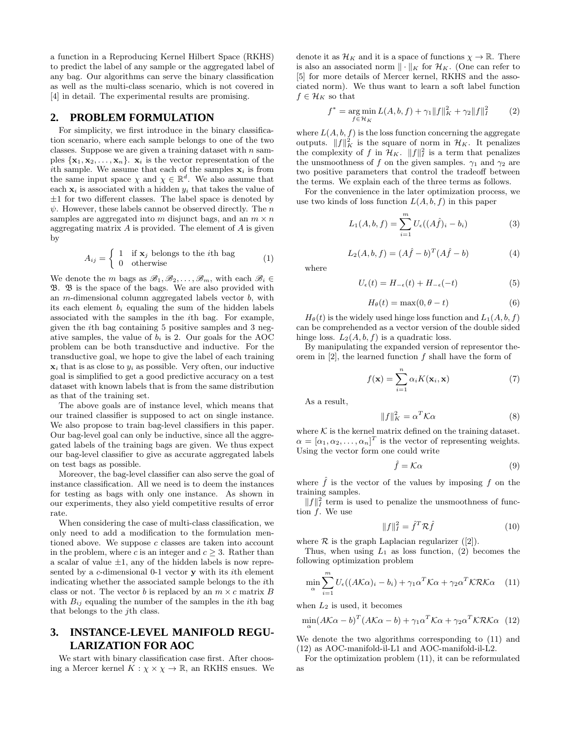a function in a Reproducing Kernel Hilbert Space (RKHS) to predict the label of any sample or the aggregated label of any bag. Our algorithms can serve the binary classification as well as the multi-class scenario, which is not covered in [4] in detail. The experimental results are promising.

#### **2. PROBLEM FORMULATION**

For simplicity, we first introduce in the binary classification scenario, where each sample belongs to one of the two classes. Suppose we are given a training dataset with  $n$  samples  $\{x_1, x_2, \ldots, x_n\}$ .  $x_i$  is the vector representation of the ith sample. We assume that each of the samples  $x_i$  is from the same input space  $\chi$  and  $\chi \in \mathbb{R}^d$ . We also assume that each  $x_i$  is associated with a hidden  $y_i$  that takes the value of  $\pm 1$  for two different classes. The label space is denoted by  $\psi$ . However, these labels cannot be observed directly. The n samples are aggregated into m disjunct bags, and an  $m \times n$ aggregating matrix  $A$  is provided. The element of  $A$  is given by

$$
A_{ij} = \begin{cases} 1 & \text{if } \mathbf{x}_j \text{ belongs to the } i\text{th bag} \\ 0 & \text{otherwise} \end{cases}
$$
 (1)

We denote the *m* bags as  $\mathscr{B}_1, \mathscr{B}_2, \ldots, \mathscr{B}_m$ , with each  $\mathscr{B}_i \in$  $\mathfrak{B}$ .  $\mathfrak{B}$  is the space of the bags. We are also provided with an  $m$ -dimensional column aggregated labels vector  $b$ , with its each element  $b_i$  equaling the sum of the hidden labels associated with the samples in the th bag. For example, given the th bag containing 5 positive samples and 3 negative samples, the value of  $b_i$  is 2. Our goals for the AOC problem can be both transductive and inductive. For the transductive goal, we hope to give the label of each training  $x_i$  that is as close to  $y_i$  as possible. Very often, our inductive goal is simplified to get a good predictive accuracy on a test dataset with known labels that is from the same distribution as that of the training set.

The above goals are of instance level, which means that our trained classifier is supposed to act on single instance. We also propose to train bag-level classifiers in this paper. Our bag-level goal can only be inductive, since all the aggregated labels of the training bags are given. We thus expect our bag-level classifier to give as accurate aggregated labels on test bags as possible.

Moreover, the bag-level classifier can also serve the goal of instance classification. All we need is to deem the instances for testing as bags with only one instance. As shown in our experiments, they also yield competitive results of error rate.

When considering the case of multi-class classification, we only need to add a modification to the formulation mentioned above. We suppose  $c$  classes are taken into account in the problem, where c is an integer and  $c \geq 3$ . Rather than a scalar of value  $\pm 1$ , any of the hidden labels is now represented by a c-dimensional 0-1 vector **y** with its *i*th element indicating whether the associated sample belongs to the th class or not. The vector *b* is replaced by an  $m \times c$  matrix *B* with  $B_{ij}$  equaling the number of the samples in the *i*th bag that belongs to the  $j$ th class.

# **3. INSTANCE-LEVEL MANIFOLD REGU-LARIZATION FOR AOC**

We start with binary classification case first. After choosing a Mercer kernel  $K : \chi \times \chi \to \mathbb{R}$ , an RKHS ensues. We denote it as  $\mathcal{H}_K$  and it is a space of functions  $\chi \to \mathbb{R}$ . There is also an associated norm  $\|\cdot\|_K$  for  $\mathcal{H}_K$ . (One can refer to [5] for more details of Mercer kernel, RKHS and the associated norm). We thus want to learn a soft label function  $f \in \mathcal{H}_K$  so that

$$
f^* = \underset{f \in \mathcal{H}_K}{\arg \min} \, L(A, b, f) + \gamma_1 \|f\|_K^2 + \gamma_2 \|f\|_I^2 \tag{2}
$$

where  $L(A, b, f)$  is the loss function concerning the aggregate outputs.  $||f||_K^2$  is the square of norm in  $\mathcal{H}_K$ . It penalizes the complexity of f in  $\mathcal{H}_K$ .  $||f||_I^2$  is a term that penalizes the unsmoothness of f on the given samples.  $\gamma_1$  and  $\gamma_2$  are two positive parameters that control the tradeoff between the terms. We explain each of the three terms as follows.

For the convenience in the later optimization process, we use two kinds of loss function  $L(A, b, f)$  in this paper

$$
L_1(A, b, f) = \sum_{i=1}^{m} U_{\epsilon}((A\hat{f})_i - b_i)
$$
 (3)

$$
L_2(A, b, f) = (A\hat{f} - b)^T (A\hat{f} - b)
$$
 (4)

where

$$
U_{\epsilon}(t) = H_{-\epsilon}(t) + H_{-\epsilon}(-t)
$$
\n(5)

$$
H_{\theta}(t) = \max(0, \theta - t) \tag{6}
$$

 $H_{\theta}(t)$  is the widely used hinge loss function and  $L_1(A, b, f)$ can be comprehended as a vector version of the double sided hinge loss.  $L_2(A, b, f)$  is a quadratic loss.

By manipulating the expanded version of representor theorem in  $[2]$ , the learned function  $f$  shall have the form of

$$
f(\mathbf{x}) = \sum_{i=1}^{n} \alpha_i K(\mathbf{x}_i, \mathbf{x})
$$
 (7)

As a result,

$$
||f||_K^2 = \alpha^T \mathcal{K}\alpha
$$
 (8)

where  $K$  is the kernel matrix defined on the training dataset.  $\alpha = [\alpha_1, \alpha_2, \dots, \alpha_n]^T$  is the vector of representing weights. Using the vector form one could write

$$
\hat{f} = \mathcal{K}\alpha \tag{9}
$$

where  $\hat{f}$  is the vector of the values by imposing f on the training samples.

 $||f||_I^2$  term is used to penalize the unsmoothness of function  $f$ . We use

$$
||f||_I^2 = \hat{f}^T \mathcal{R}\hat{f}
$$
 (10)

where  $R$  is the graph Laplacian regularizer ([2]).

Thus, when using  $L_1$  as loss function, (2) becomes the following optimization problem

$$
\min_{\alpha} \sum_{i=1}^{m} U_{\epsilon}((A\mathcal{K}\alpha)_{i} - b_{i}) + \gamma_{1}\alpha^{T}\mathcal{K}\alpha + \gamma_{2}\alpha^{T}\mathcal{K}\mathcal{R}\mathcal{K}\alpha \quad (11)
$$

when  $L_2$  is used, it becomes

$$
\min_{\alpha} (A\mathcal{K}\alpha - b)^{T} (A\mathcal{K}\alpha - b) + \gamma_{1}\alpha^{T} \mathcal{K}\alpha + \gamma_{2}\alpha^{T} \mathcal{K}\mathcal{R}\mathcal{K}\alpha
$$
 (12)

We denote the two algorithms corresponding to (11) and (12) as AOC-manifold-il-L1 and AOC-manifold-il-L2.

For the optimization problem (11), it can be reformulated as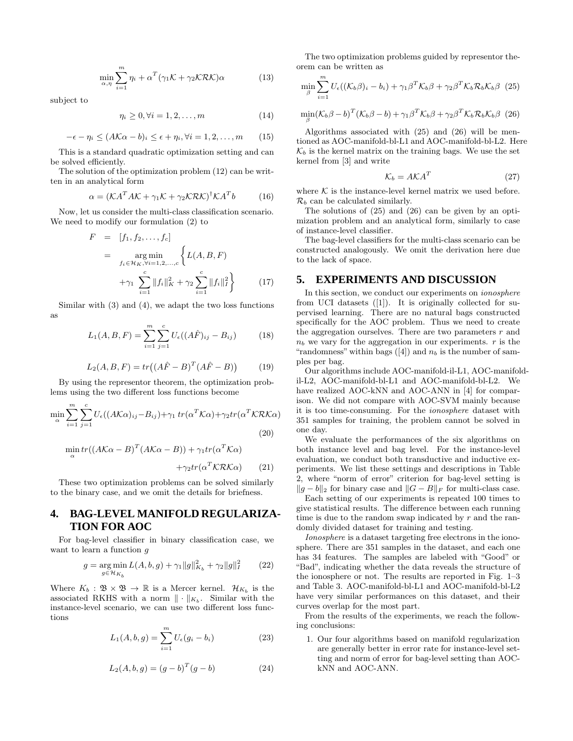$$
\min_{\alpha,\eta} \sum_{i=1}^{m} \eta_i + \alpha^T (\gamma_1 \mathcal{K} + \gamma_2 \mathcal{K} \mathcal{R} \mathcal{K}) \alpha \tag{13}
$$

subject to

$$
\eta_i \ge 0, \forall i = 1, 2, \dots, m \tag{14}
$$

$$
-\epsilon - \eta_i \le (A\mathcal{K}\alpha - b)_i \le \epsilon + \eta_i, \forall i = 1, 2, \dots, m \qquad (15)
$$

This is a standard quadratic optimization setting and can be solved efficiently.

The solution of the optimization problem (12) can be written in an analytical form

$$
\alpha = (KA^T AK + \gamma_1 K + \gamma_2 KRK)^{\dagger} KA^T b \tag{16}
$$

Now, let us consider the multi-class classification scenario. We need to modify our formulation (2) to

$$
F = [f_1, f_2, \dots, f_c]
$$
  
= 
$$
\argmin_{f_i \in \mathcal{H}_K, \forall i=1,2,\dots,c} \left\{ L(A, B, F) + \gamma_1 \sum_{i=1}^c \|f_i\|_K^2 + \gamma_2 \sum_{i=1}^c \|f_i\|_I^2 \right\}
$$
 (17)

Similar with (3) and (4), we adapt the two loss functions as

$$
L_1(A, B, F) = \sum_{i=1}^{m} \sum_{j=1}^{c} U_{\epsilon}((A\hat{F})_{ij} - B_{ij})
$$
 (18)

$$
L_2(A, B, F) = tr((A\hat{F} - B)^T(A\hat{F} - B))
$$
 (19)

By using the representor theorem, the optimization problems using the two different loss functions become

$$
\min_{\alpha} \sum_{i=1}^{m} \sum_{j=1}^{c} U_{\epsilon}((A\mathcal{K}\alpha)_{ij} - B_{ij}) + \gamma_1 \operatorname{tr}(\alpha^T \mathcal{K}\alpha) + \gamma_2 \operatorname{tr}(\alpha^T \mathcal{K}\mathcal{R}\mathcal{K}\alpha)
$$
\n
$$
\min_{\alpha} \operatorname{tr}((A\mathcal{K}\alpha - B)^T (A\mathcal{K}\alpha - B)) + \gamma_1 \operatorname{tr}(\alpha^T \mathcal{K}\alpha)
$$
\n(20)

$$
+\gamma_2 tr(\alpha^T \mathcal{K} \mathcal{R} \mathcal{K} \alpha) \qquad (21)
$$

These two optimization problems can be solved similarly to the binary case, and we omit the details for briefness.

## **4. BAG-LEVEL MANIFOLD REGULARIZA-TION FOR AOC**

For bag-level classifier in binary classification case, we want to learn a function  $q$ 

$$
g = \underset{g \in \mathcal{H}_{K_b}}{\arg \min} L(A, b, g) + \gamma_1 \|g\|_{K_b}^2 + \gamma_2 \|g\|_{I}^2 \qquad (22)
$$

Where  $K_b : \mathfrak{B} \times \mathfrak{B} \to \mathbb{R}$  is a Mercer kernel.  $\mathcal{H}_{K_b}$  is the associated RKHS with a norm  $\|\cdot\|_{K_b}$ . Similar with the instance-level scenario, we can use two different loss functions

$$
L_1(A, b, g) = \sum_{i=1}^{m} U_{\epsilon}(g_i - b_i)
$$
 (23)

$$
L_2(A, b, g) = (g - b)^T (g - b)
$$
 (24)

The two optimization problems guided by representor theorem can be written as

$$
\min_{\beta} \sum_{i=1}^{m} U_{\epsilon}((\mathcal{K}_b \beta)_i - b_i) + \gamma_1 \beta^T \mathcal{K}_b \beta + \gamma_2 \beta^T \mathcal{K}_b \mathcal{R}_b \mathcal{K}_b \beta
$$
 (25)

$$
\min_{\beta} (\mathcal{K}_b \beta - b)^T (\mathcal{K}_b \beta - b) + \gamma_1 \beta^T \mathcal{K}_b \beta + \gamma_2 \beta^T \mathcal{K}_b \mathcal{R}_b \mathcal{K}_b \beta
$$
 (26)

Algorithms associated with (25) and (26) will be mentioned as AOC-manifold-bl-L1 and AOC-manifold-bl-L2. Here  $\mathcal{K}_b$  is the kernel matrix on the training bags. We use the set kernel from [3] and write

$$
\mathcal{K}_b = A \mathcal{K} A^T \tag{27}
$$

where  $K$  is the instance-level kernel matrix we used before.  $\mathcal{R}_b$  can be calculated similarly.

The solutions of (25) and (26) can be given by an optimization problem and an analytical form, similarly to case of instance-level classifier.

The bag-level classifiers for the multi-class scenario can be constructed analogously. We omit the derivation here due to the lack of space.

#### **5. EXPERIMENTS AND DISCUSSION**

In this section, we conduct our experiments on ionosphere from UCI datasets ([1]). It is originally collected for supervised learning. There are no natural bags constructed specifically for the AOC problem. Thus we need to create the aggregation ourselves. There are two parameters  $r$  and  $n_b$  we vary for the aggregation in our experiments.  $r$  is the "randomness" within bags  $([4])$  and  $n<sub>b</sub>$  is the number of samples per bag.

Our algorithms include AOC-manifold-il-L1, AOC-manifoldil-L2, AOC-manifold-bl-L1 and AOC-manifold-bl-L2. We have realized AOC-kNN and AOC-ANN in [4] for comparison. We did not compare with AOC-SVM mainly because it is too time-consuming. For the ionosphere dataset with 351 samples for training, the problem cannot be solved in one day.

We evaluate the performances of the six algorithms on both instance level and bag level. For the instance-level evaluation, we conduct both transductive and inductive experiments. We list these settings and descriptions in Table 2, where "norm of error" criterion for bag-level setting is  $||g - b||_2$  for binary case and  $||G - B||_F$  for multi-class case.

Each setting of our experiments is repeated 100 times to give statistical results. The difference between each running time is due to the random swap indicated by  $r$  and the randomly divided dataset for training and testing.

Ionosphere is a dataset targeting free electrons in the ionosphere. There are 351 samples in the dataset, and each one has 34 features. The samples are labeled with "Good" or "Bad", indicating whether the data reveals the structure of the ionosphere or not. The results are reported in Fig. 1–3 and Table 3. AOC-manifold-bl-L1 and AOC-manifold-bl-L2 have very similar performances on this dataset, and their curves overlap for the most part.

From the results of the experiments, we reach the following conclusions:

1. Our four algorithms based on manifold regularization are generally better in error rate for instance-level setting and norm of error for bag-level setting than AOCkNN and AOC-ANN.